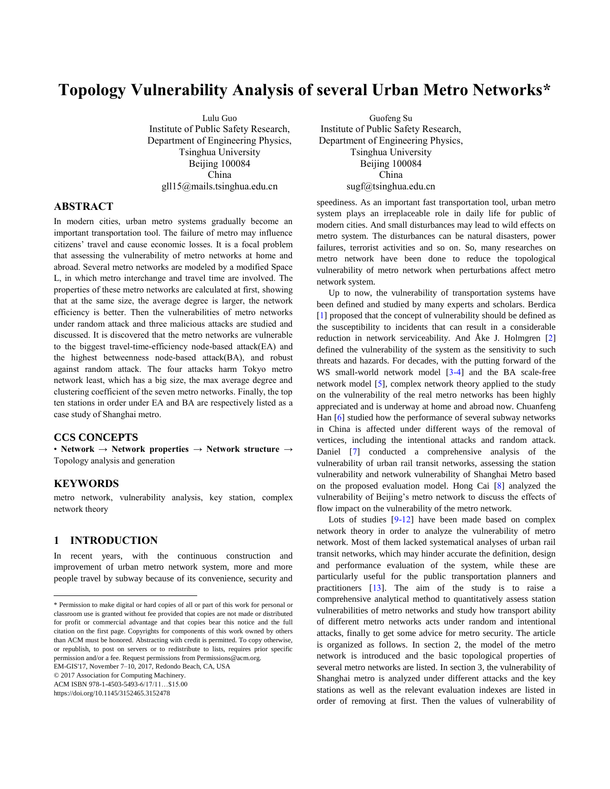# **Topology Vulnerability Analysis of several Urban Metro Networks\***

Lulu Guo Institute of Public Safety Research, Department of Engineering Physics, Tsinghua University Beijing 100084 China gll15@mails.tsinghua.edu.cn

### **ABSTRACT<sup>1</sup>**

In modern cities, urban metro systems gradually become an important transportation tool. The failure of metro may influence citizens' travel and cause economic losses. It is a focal problem that assessing the vulnerability of metro networks at home and abroad. Several metro networks are modeled by a modified Space L, in which metro interchange and travel time are involved. The properties of these metro networks are calculated at first, showing that at the same size, the average degree is larger, the network efficiency is better. Then the vulnerabilities of metro networks under random attack and three malicious attacks are studied and discussed. It is discovered that the metro networks are vulnerable to the biggest travel-time-efficiency node-based attack(EA) and the highest betweenness node-based attack(BA), and robust against random attack. The four attacks harm Tokyo metro network least, which has a big size, the max average degree and clustering coefficient of the seven metro networks. Finally, the top ten stations in order under EA and BA are respectively listed as a case study of Shanghai metro.

### **CCS CONCEPTS**

• **Network** → **Network properties** → **Network structure** → Topology analysis and generation

### **KEYWORDS**

l

metro network, vulnerability analysis, key station, complex network theory

#### **1 INTRODUCTION**

In recent years, with the continuous construction and improvement of urban metro network system, more and more people travel by subway because of its convenience, security and

© 2017 Association for Computing Machinery.

ACM ISBN 978-1-4503-5493-6/17/11…\$15.00

https://doi.org/10.1145/3152465.3152478

Guofeng Su Institute of Public Safety Research, Department of Engineering Physics, Tsinghua University Beijing 100084 China sugf@tsinghua.edu.cn

speediness. As an important fast transportation tool, urban metro system plays an irreplaceable role in daily life for public of modern cities. And small disturbances may lead to wild effects on metro system. The disturbances can be natural disasters, power failures, terrorist activities and so on. So, many researches on metro network have been done to reduce the topological vulnerability of metro network when perturbations affect metro network system.

Up to now, the vulnerability of transportation systems have been defined and studied by many experts and scholars. Berdica [1] proposed that the concept of vulnerability should be defined as the susceptibility to incidents that can result in a considerable reduction in network serviceability. And Åke J. Holmgren [2] defined the vulnerability of the system as the sensitivity to such threats and hazards. For decades, with the putting forward of the WS small-world network model [3-4] and the BA scale-free network model [5], complex network theory applied to the study on the vulnerability of the real metro networks has been highly appreciated and is underway at home and abroad now. Chuanfeng Han [6] studied how the performance of several subway networks in China is affected under different ways of the removal of vertices, including the intentional attacks and random attack. Daniel [7] conducted a comprehensive analysis of the vulnerability of urban rail transit networks, assessing the station vulnerability and network vulnerability of Shanghai Metro based on the proposed evaluation model. Hong Cai [8] analyzed the vulnerability of Beijing's metro network to discuss the effects of flow impact on the vulnerability of the metro network.

Lots of studies [9-12] have been made based on complex network theory in order to analyze the vulnerability of metro network. Most of them lacked systematical analyses of urban rail transit networks, which may hinder accurate the definition, design and performance evaluation of the system, while these are particularly useful for the public transportation planners and practitioners [13]. The aim of the study is to raise a comprehensive analytical method to quantitatively assess station vulnerabilities of metro networks and study how transport ability of different metro networks acts under random and intentional attacks, finally to get some advice for metro security. The article is organized as follows. In section 2, the model of the metro network is introduced and the basic topological properties of several metro networks are listed. In section 3, the vulnerability of Shanghai metro is analyzed under different attacks and the key stations as well as the relevant evaluation indexes are listed in order of removing at first. Then the values of vulnerability of

<sup>\*</sup> Permission to make digital or hard copies of all or part of this work for personal or classroom use is granted without fee provided that copies are not made or distributed for profit or commercial advantage and that copies bear this notice and the full citation on the first page. Copyrights for components of this work owned by others than ACM must be honored. Abstracting with credit is permitted. To copy otherwise, or republish, to post on servers or to redistribute to lists, requires prior specific permission and/or a fee. Request permissions from Permissions@acm.org. EM-GIS'17, November 7–10, 2017, Redondo Beach, CA, USA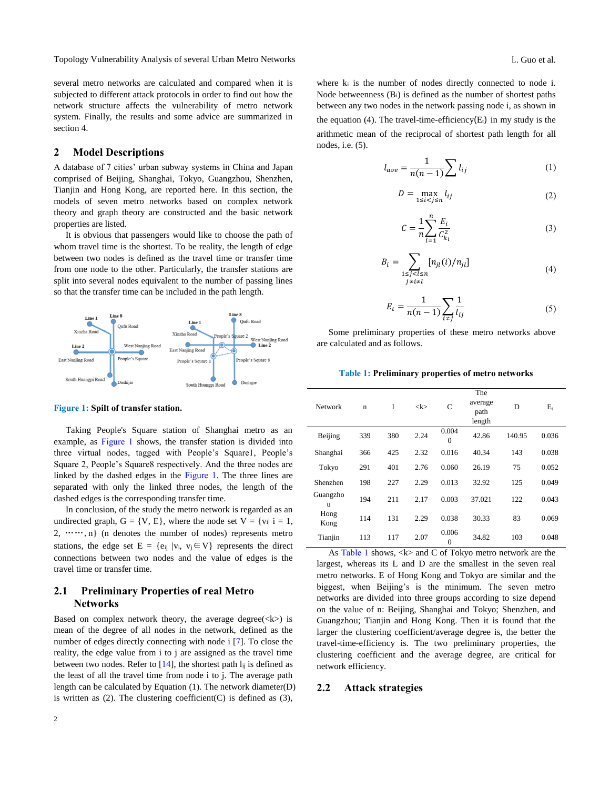Topology Vulnerability Analysis of several Urban Metro Networks **Letter and Conventionation** C. Guo et al.

several metro networks are calculated and compared when it is subjected to different attack protocols in order to find out how the network structure affects the vulnerability of metro network system. Finally, the results and some advice are summarized in section 4.

### **2 Model Descriptions**

A database of 7 cities' urban subway systems in China and Japan comprised of Beijing, Shanghai, Tokyo, Guangzhou, Shenzhen, Tianjin and Hong Kong, are reported here. In this section, the models of seven metro networks based on complex network theory and graph theory are constructed and the basic network properties are listed.

It is obvious that passengers would like to choose the path of whom travel time is the shortest. To be reality, the length of edge between two nodes is defined as the travel time or transfer time from one node to the other. Particularly, the transfer stations are split into several nodes equivalent to the number of passing lines so that the transfer time can be included in the path length.



#### **Figure 1: Spilt of transfer station.**

Taking People's Square station of Shanghai metro as an example, as Figure 1 shows, the transfer station is divided into three virtual nodes, tagged with People's Square1, People's Square 2, People's Square8 respectively. And the three nodes are linked by the dashed edges in the Figure 1. The three lines are separated with only the linked three nodes, the length of the dashed edges is the corresponding transfer time.

In conclusion, of the study the metro network is regarded as an undirected graph,  $G = \{V, E\}$ , where the node set  $V = \{v_i | i = 1,$  $2, \dots, n$  (n denotes the number of nodes) represents metro stations, the edge set E = {e<sub>ij</sub> |v<sub>i</sub>, v<sub>j</sub>  $\in$  V} represents the direct connections between two nodes and the value of edges is the travel time or transfer time.

## **2.1 Preliminary Properties of real Metro Networks**

Based on complex network theory, the average degree( $\langle k \rangle$ ) is mean of the degree of all nodes in the network, defined as the number of edges directly connecting with node i [7]. To close the reality, the edge value from i to j are assigned as the travel time between two nodes. Refer to  $[14]$ , the shortest path  $l_{ij}$  is defined as the least of all the travel time from node i to j. The average path length can be calculated by Equation (1). The network diameter(D) is written as  $(2)$ . The clustering coefficient $(C)$  is defined as  $(3)$ ,

where  $k_i$  is the number of nodes directly connected to node i. Node betweenness  $(B_i)$  is defined as the number of shortest paths between any two nodes in the network passing node i, as shown in the equation (4). The travel-time-efficiency( $E_t$ ) in my study is the arithmetic mean of the reciprocal of shortest path length for all nodes, i.e. (5).

$$
l_{ave} = \frac{1}{n(n-1)} \sum l_{ij} \tag{1}
$$

$$
D = \max_{1 \le i < j \le n} l_{ij} \tag{2}
$$

$$
C = \frac{1}{n} \sum_{i=1}^{n} \frac{E_i}{C_{k_i}^2}
$$
 (3)

$$
B_i = \sum_{\substack{1 \le j < l \le n \\ j \ne i \ne l}} [n_{jl}(i)/n_{jl}] \tag{4}
$$

$$
E_t = \frac{1}{n(n-1)} \sum_{i \neq j} \frac{1}{l_{ij}} \tag{5}
$$

Some preliminary properties of these metro networks above are calculated and as follows.

**Table 1: Preliminary properties of metro networks**

| <b>Network</b> | n   | 1   | $<\!\!k\!\!>$ | C                 | The<br>average<br>path<br>length | D      | $E_{t}$ |
|----------------|-----|-----|---------------|-------------------|----------------------------------|--------|---------|
| Beijing        | 339 | 380 | 2.24          | 0.004<br>$\theta$ | 42.86                            | 140.95 | 0.036   |
| Shanghai       | 366 | 425 | 2.32          | 0.016             | 40.34                            | 143    | 0.038   |
| Tokyo          | 291 | 401 | 2.76          | 0.060             | 26.19                            | 75     | 0.052   |
| Shenzhen       | 198 | 227 | 2.29          | 0.013             | 32.92                            | 125    | 0.049   |
| Guangzho<br>u  | 194 | 211 | 2.17          | 0.003             | 37.021                           | 122    | 0.043   |
| Hong<br>Kong   | 114 | 131 | 2.29          | 0.038             | 30.33                            | 83     | 0.069   |
| Tianjin        | 113 | 117 | 2.07          | 0.006<br>$\theta$ | 34.82                            | 103    | 0.048   |

As Table 1 shows,  $\langle k \rangle$  and C of Tokyo metro network are the largest, whereas its L and D are the smallest in the seven real metro networks. E of Hong Kong and Tokyo are similar and the biggest, when Beijing's is the minimum. The seven metro networks are divided into three groups according to size depend on the value of n: Beijing, Shanghai and Tokyo; Shenzhen, and Guangzhou; Tianjin and Hong Kong. Then it is found that the larger the clustering coefficient/average degree is, the better the travel-time-efficiency is. The two preliminary properties, the clustering coefficient and the average degree, are critical for network efficiency.

#### **2.2 Attack strategies**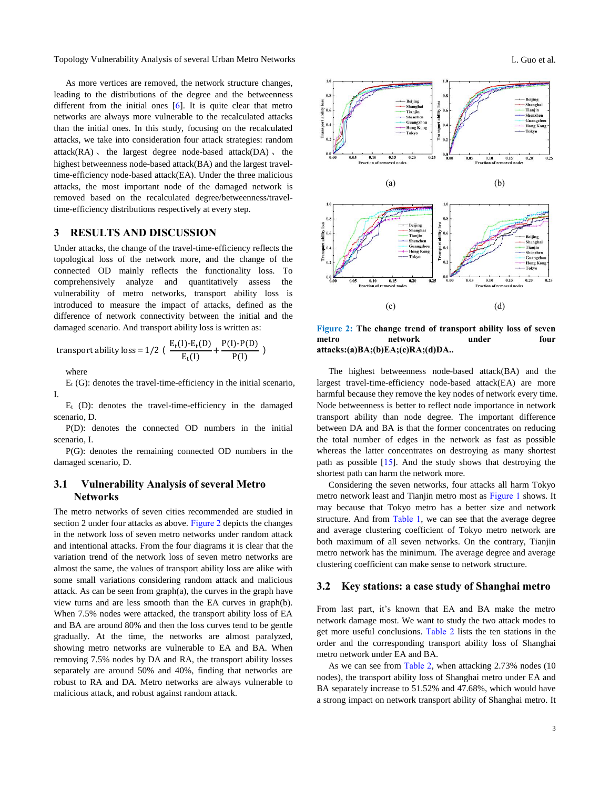Topology Vulnerability Analysis of several Urban Metro Networks **L.** Guo et al.

As more vertices are removed, the network structure changes, leading to the distributions of the degree and the betweenness different from the initial ones [6]. It is quite clear that metro networks are always more vulnerable to the recalculated attacks than the initial ones. In this study, focusing on the recalculated attacks, we take into consideration four attack strategies: random  $attack(RA)$ , the largest degree node-based attack(DA), the highest betweenness node-based attack(BA) and the largest traveltime-efficiency node-based attack(EA). Under the three malicious attacks, the most important node of the damaged network is removed based on the recalculated degree/betweenness/traveltime-efficiency distributions respectively at every step.

### **3 RESULTS AND DISCUSSION**

Under attacks, the change of the travel-time-efficiency reflects the topological loss of the network more, and the change of the connected OD mainly reflects the functionality loss. To comprehensively analyze and quantitatively assess the vulnerability of metro networks, transport ability loss is introduced to measure the impact of attacks, defined as the difference of network connectivity between the initial and the damaged scenario. And transport ability loss is written as:

transport ability loss = 
$$
1/2
$$
 (  $\frac{E_t(I) - E_t(D)}{E_t(I)} + \frac{P(I) - P(D)}{P(I)}$  )

where

 $E_t$  (G): denotes the travel-time-efficiency in the initial scenario, I.

 $E_t$  (D): denotes the travel-time-efficiency in the damaged scenario, D.

P(D): denotes the connected OD numbers in the initial scenario, I.

P(G): denotes the remaining connected OD numbers in the damaged scenario, D.

### **3.1 Vulnerability Analysis of several Metro Networks**

The metro networks of seven cities recommended are studied in section 2 under four attacks as above. Figure 2 depicts the changes in the network loss of seven metro networks under random attack and intentional attacks. From the four diagrams it is clear that the variation trend of the network loss of seven metro networks are almost the same, the values of transport ability loss are alike with some small variations considering random attack and malicious attack. As can be seen from graph(a), the curves in the graph have view turns and are less smooth than the EA curves in graph(b). When 7.5% nodes were attacked, the transport ability loss of EA and BA are around 80% and then the loss curves tend to be gentle gradually. At the time, the networks are almost paralyzed, showing metro networks are vulnerable to EA and BA. When removing 7.5% nodes by DA and RA, the transport ability losses separately are around 50% and 40%, finding that networks are robust to RA and DA. Metro networks are always vulnerable to malicious attack, and robust against random attack.



**Figure 2: The change trend of transport ability loss of seven metro network under four attacks:(a)BA;(b)EA;(c)RA;(d)DA..**

The highest betweenness node-based attack(BA) and the largest travel-time-efficiency node-based attack(EA) are more harmful because they remove the key nodes of network every time. Node betweenness is better to reflect node importance in network transport ability than node degree. The important difference between DA and BA is that the former concentrates on reducing the total number of edges in the network as fast as possible whereas the latter concentrates on destroying as many shortest path as possible [15]. And the study shows that destroying the shortest path can harm the network more.

Considering the seven networks, four attacks all harm Tokyo metro network least and Tianjin metro most as Figure 1 shows. It may because that Tokyo metro has a better size and network structure. And from Table 1, we can see that the average degree and average clustering coefficient of Tokyo metro network are both maximum of all seven networks. On the contrary, Tianjin metro network has the minimum. The average degree and average clustering coefficient can make sense to network structure.

### **3.2 Key stations: a case study of Shanghai metro**

From last part, it's known that EA and BA make the metro network damage most. We want to study the two attack modes to get more useful conclusions. Table 2 lists the ten stations in the order and the corresponding transport ability loss of Shanghai metro network under EA and BA.

As we can see from Table 2, when attacking 2.73% nodes (10) nodes), the transport ability loss of Shanghai metro under EA and BA separately increase to 51.52% and 47.68%, which would have a strong impact on network transport ability of Shanghai metro. It